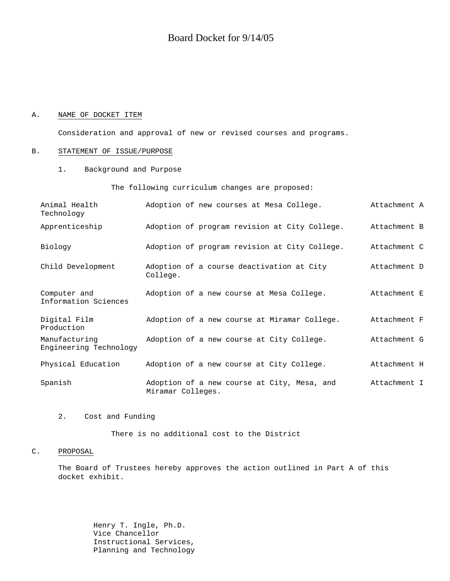### A. NAME OF DOCKET ITEM

Consideration and approval of new or revised courses and programs.

### B. STATEMENT OF ISSUE/PURPOSE

1. Background and Purpose

The following curriculum changes are proposed:

| Animal Health<br>Technology             | Adoption of new courses at Mesa College.                         | Attachment A |
|-----------------------------------------|------------------------------------------------------------------|--------------|
| Apprenticeship                          | Adoption of program revision at City College.                    | Attachment B |
| Biology                                 | Adoption of program revision at City College.                    | Attachment C |
| Child Development                       | Adoption of a course deactivation at City<br>College.            | Attachment D |
| Computer and<br>Information Sciences    | Adoption of a new course at Mesa College.                        | Attachment E |
| Digital Film<br>Production              | Adoption of a new course at Miramar College.                     | Attachment F |
| Manufacturing<br>Engineering Technology | Adoption of a new course at City College.                        | Attachment G |
| Physical Education                      | Adoption of a new course at City College.                        | Attachment H |
| Spanish                                 | Adoption of a new course at City, Mesa, and<br>Miramar Colleges. | Attachment I |

### 2. Cost and Funding

There is no additional cost to the District

### C. PROPOSAL

The Board of Trustees hereby approves the action outlined in Part A of this docket exhibit.

> Henry T. Ingle, Ph.D. Vice Chancellor Instructional Services, Planning and Technology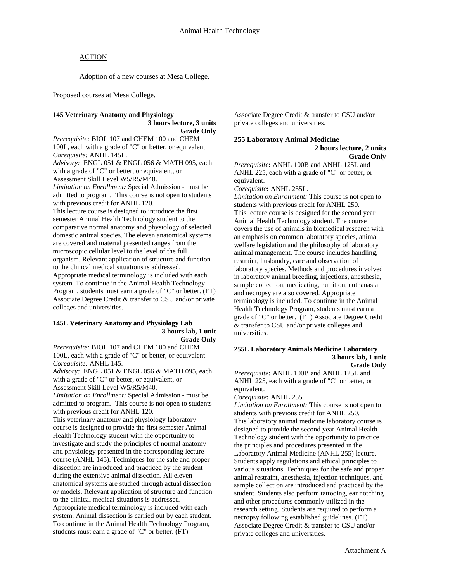Adoption of a new courses at Mesa College.

Proposed courses at Mesa College.

# **145 Veterinary Anatomy and Physiology 3 hours lecture, 3 units**

**Grade Only** 

*Prerequisite:* BIOL 107 and CHEM 100 and CHEM 100L, each with a grade of "C" or better, or equivalent. *Corequisite:* ANHL 145L.

*Advisory:*ENGL 051 & ENGL 056 & MATH 095, each with a grade of "C" or better, or equivalent, or Assessment Skill Level W5/R5/M40.

*Limitation on Enrollment:* Special Admission - must be admitted to program. This course is not open to students with previous credit for ANHL 120.

This lecture course is designed to introduce the first semester Animal Health Technology student to the comparative normal anatomy and physiology of selected domestic animal species. The eleven anatomical systems are covered and material presented ranges from the microscopic cellular level to the level of the full organism. Relevant application of structure and function to the clinical medical situations is addressed. Appropriate medical terminology is included with each system. To continue in the Animal Health Technology Program, students must earn a grade of "C" or better. (FT) Associate Degree Credit & transfer to CSU and/or private colleges and universities.

#### **145L Veterinary Anatomy and Physiology Lab 3 hours lab, 1 unit Grade Only**

*Prerequisite:* BIOL 107 and CHEM 100 and CHEM 100L, each with a grade of "C" or better, or equivalent. *Corequisite:* ANHL 145.

*Advisory:*ENGL 051 & ENGL 056 & MATH 095, each with a grade of "C" or better, or equivalent, or Assessment Skill Level W5/R5/M40.

*Limitation on Enrollment:* Special Admission - must be admitted to program. This course is not open to students with previous credit for ANHL 120.

This veterinary anatomy and physiology laboratory course is designed to provide the first semester Animal Health Technology student with the opportunity to investigate and study the principles of normal anatomy and physiology presented in the corresponding lecture course (ANHL 145). Techniques for the safe and proper dissection are introduced and practiced by the student during the extensive animal dissection. All eleven anatomical systems are studied through actual dissection or models. Relevant application of structure and function to the clinical medical situations is addressed. Appropriate medical terminology is included with each system. Animal dissection is carried out by each student. To continue in the Animal Health Technology Program, students must earn a grade of "C" or better. (FT)

Associate Degree Credit & transfer to CSU and/or private colleges and universities.

### **255 Laboratory Animal Medicine**

 **2 hours lecture, 2 units Grade Only** 

*Prerequisite***:** ANHL 100B and ANHL 125L and ANHL 225, each with a grade of "C" or better, or equivalent.

*Corequisite***:** ANHL 255L.

*Limitation on Enrollment:* This course is not open to students with previous credit for ANHL 250. This lecture course is designed for the second year Animal Health Technology student. The course covers the use of animals in biomedical research with an emphasis on common laboratory species, animal welfare legislation and the philosophy of laboratory animal management. The course includes handling, restraint, husbandry, care and observation of laboratory species. Methods and procedures involved in laboratory animal breeding, injections, anesthesia, sample collection, medicating, nutrition, euthanasia and necropsy are also covered. Appropriate terminology is included. To continue in the Animal Health Technology Program, students must earn a grade of "C" or better. (FT) Associate Degree Credit & transfer to CSU and/or private colleges and universities.

#### **255L Laboratory Animals Medicine Laboratory 3 hours lab, 1 unit Grade Only**

*Prerequisite***:** ANHL 100B and ANHL 125L and ANHL 225, each with a grade of "C" or better, or equivalent.

#### *Corequisite***:** ANHL 255.

*Limitation on Enrollment:* This course is not open to students with previous credit for ANHL 250. This laboratory animal medicine laboratory course is designed to provide the second year Animal Health Technology student with the opportunity to practice the principles and procedures presented in the Laboratory Animal Medicine (ANHL 255) lecture. Students apply regulations and ethical principles to various situations. Techniques for the safe and proper animal restraint, anesthesia, injection techniques, and sample collection are introduced and practiced by the student. Students also perform tattooing, ear notching and other procedures commonly utilized in the research setting. Students are required to perform a necropsy following established guidelines. (FT) Associate Degree Credit & transfer to CSU and/or private colleges and universities.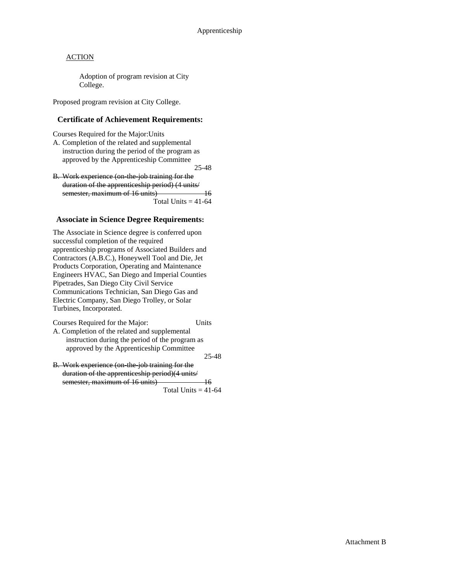Adoption of program revision at City College.

Proposed program revision at City College.

# **Certificate of Achievement Requirements:**

Courses Required for the Major:Units

A. Completion of the related and supplemental instruction during the period of the program as approved by the Apprenticeship Committee

25-48

B. Work experience (on the job training for the duration of the apprenticeship period) (4 units/ semester, maximum of 16 units) 16 Total Units  $=$  41-64

## **Associate in Science Degree Requirements:**

The Associate in Science degree is conferred upon successful completion of the required apprenticeship programs of Associated Builders and Contractors (A.B.C.), Honeywell Tool and Die, Jet Products Corporation, Operating and Maintenance Engineers HVAC, San Diego and Imperial Counties Pipetrades, San Diego City Civil Service Communications Technician, San Diego Gas and Electric Company, San Diego Trolley, or Solar Turbines, Incorporated.

Courses Required for the Major: Units

A. Completion of the related and supplemental instruction during the period of the program as approved by the Apprenticeship Committee

25-48

B. Work experience (on-the-job training for the duration of the apprenticeship period)(4 units/ semester, maximum of 16 units) 16

Total Units  $= 41-64$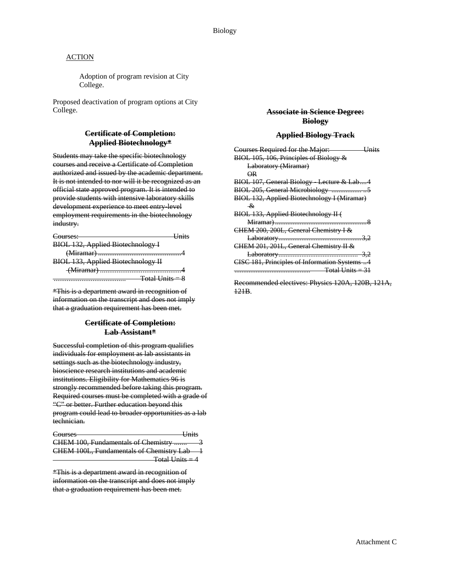Adoption of program revision at City College.

Proposed deactivation of program options at City College.

### **Certificate of Completion: Applied Biotechnology\***

Students may take the specific biotechnology courses and receive a Certificate of Completion authorized and issued by the academic department. It is not intended to nor will it be recognized as an official state approved program. It is intended to provide students with intensive laboratory skills development experience to meet entry-level employment requirements in the biotechnology industry.

| ourses:                                   |  |
|-------------------------------------------|--|
| <b>BIOL 132, Applied Biotechnology I</b>  |  |
|                                           |  |
| <b>BIOL 133, Applied Biotechnology II</b> |  |
| (Miramar)                                 |  |
|                                           |  |

\*This is a department award in recognition of information on the transcript and does not imply that a graduation requirement has been met.

## **Certificate of Completion: Lab Assistant\***

Successful completion of this program qualifies individuals for employment as lab assistants in settings such as the biotechnology industry, bioscience research institutions and academic institutions. Eligibility for Mathematics 96 is strongly recommended before taking this program. Required courses must be completed with a grade of "C" or better. Further education beyond this program could lead to broader opportunities as a lab technician.

| Courses                                  | I <sub>finite</sub><br>ошь |
|------------------------------------------|----------------------------|
| CHEM 100, Fundamentals of Chemistry      |                            |
| CHEM 100L, Fundamentals of Chemistry Lab |                            |
| <b>Total Units = 4</b>                   |                            |

\*This is a department award in recognition of information on the transcript and does not imply that a graduation requirement has been met.

### **Associate in Science Degree: Biology**

#### **Applied Biology Track**

| Courses Required for the Major:<br><del>Units</del> |
|-----------------------------------------------------|
| BIOL 105, 106, Principles of Biology &              |
| Laboratory (Miramar)                                |
| $\overline{OR}$                                     |
| BIOL 107, General Biology Lecture & Lab4            |
| BIOL 205, General Microbiology 5                    |
| <b>BIOL 132, Applied Biotechnology I (Miramar)</b>  |
| $\mathcal{R}_{I}$                                   |
| BIOL 133, Applied Biotechnology II (                |
|                                                     |
| CHEM 200, 200L, General Chemistry I &               |
|                                                     |
| CHEM 201, 201L, General Chemistry II &              |
|                                                     |
| CISC 181, Principles of Information Systems 4       |
|                                                     |
|                                                     |

Recommended electives: Physics 120A, 120B, 121A, 121B.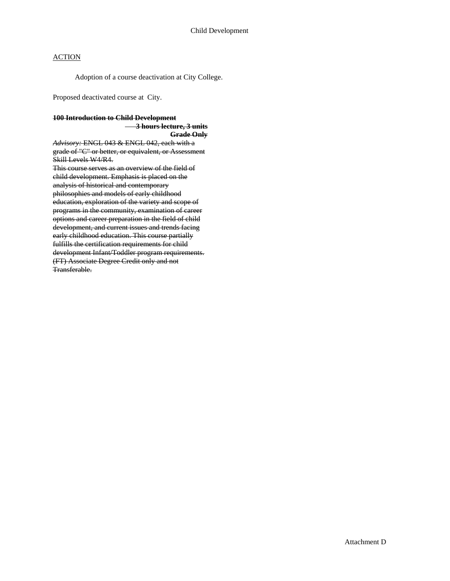Adoption of a course deactivation at City College.

Proposed deactivated course at City.

### **100 Introduction to Child Development**

 **3 hours lecture, 3 units Grade Only**

*Advisory:* ENGL 043 & ENGL 042, each with a grade of "C" or better, or equivalent, or Assessment Skill Levels W4/R4. This course serves as an overview of the field of child development. Emphasis is placed on the analysis of historical and contemporary philosophies and models of early childhood education, exploration of the variety and scope of programs in the community, examination of career options and career preparation in the field of child development, and current issues and trends facing early childhood education. This course partially fulfills the certification requirements for child development Infant/Toddler program requirements. (FT) Associate Degree Credit only and not Transferable.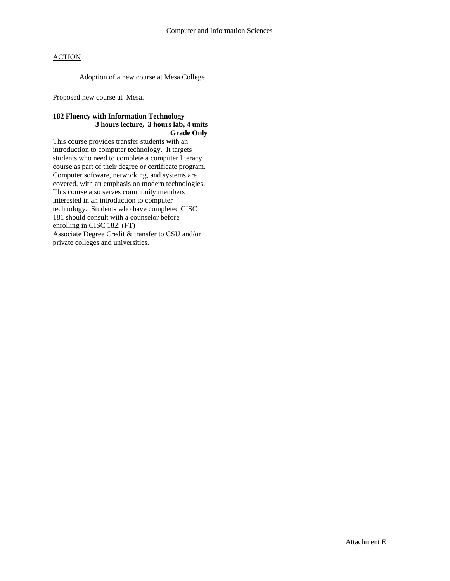Adoption of a new course at Mesa College.

Proposed new course at Mesa.

### **182 Fluency with Information Technology 3 hours lecture, 3 hours lab, 4 units Grade Only**

This course provides transfer students with an introduction to computer technology. It targets students who need to complete a computer literacy course as part of their degree or certificate program. Computer software, networking, and systems are covered, with an emphasis on modern technologies. This course also serves community members interested in an introduction to computer technology. Students who have completed CISC 181 should consult with a counselor before enrolling in CISC 182. (FT) Associate Degree Credit & transfer to CSU and/or private colleges and universities.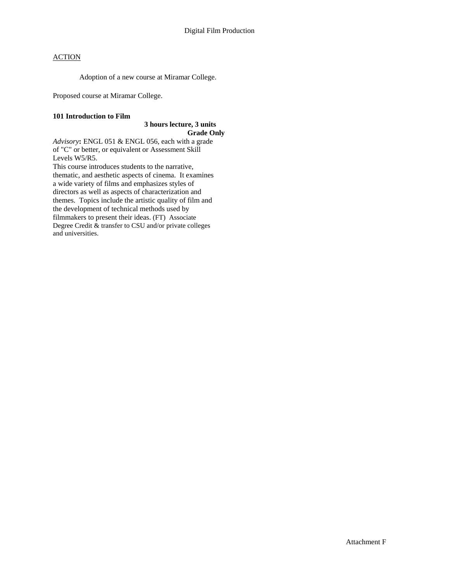Adoption of a new course at Miramar College.

Proposed course at Miramar College.

#### **101 Introduction to Film**

#### **3 hours lecture, 3 units Grade Only**

*Advisory***:** ENGL 051 & ENGL 056, each with a grade of "C" or better, or equivalent or Assessment Skill Levels W5/R5.

This course introduces students to the narrative, thematic, and aesthetic aspects of cinema. It examines a wide variety of films and emphasizes styles of directors as well as aspects of characterization and themes. Topics include the artistic quality of film and the development of technical methods used by filmmakers to present their ideas. (FT) Associate Degree Credit & transfer to CSU and/or private colleges and universities.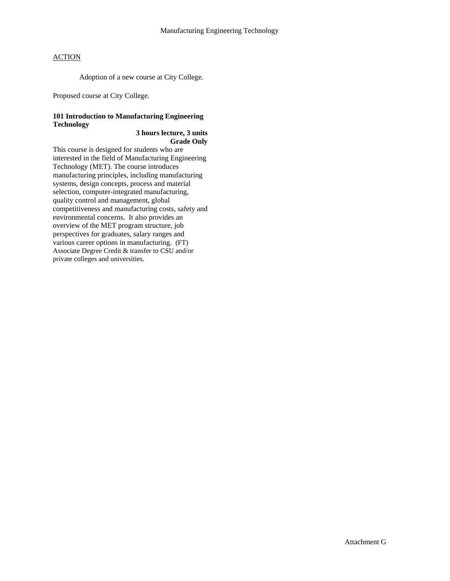Adoption of a new course at City College.

Proposed course at City College.

### **101 Introduction to Manufacturing Engineering Technology**

### **3 hours lecture, 3 units Grade Only**

This course is designed for students who are interested in the field of Manufacturing Engineering Technology (MET). The course introduces manufacturing principles, including manufacturing systems, design concepts, process and material selection, computer-integrated manufacturing, quality control and management, global competitiveness and manufacturing costs, safety and environmental concerns. It also provides an overview of the MET program structure, job perspectives for graduates, salary ranges and various career options in manufacturing. (FT) Associate Degree Credit & transfer to CSU and/or private colleges and universities.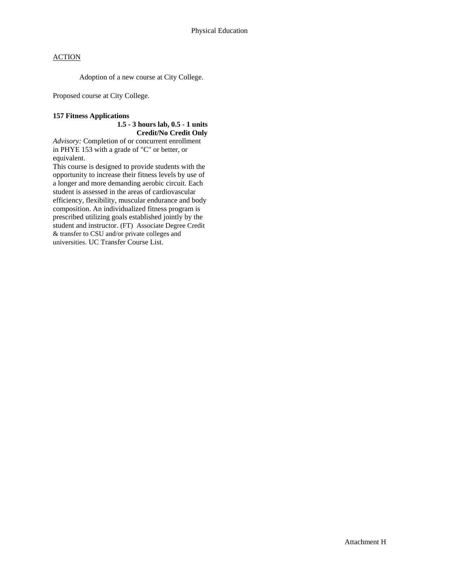Adoption of a new course at City College.

Proposed course at City College.

### **157 Fitness Applications**

### **1.5 - 3 hours lab, 0.5 - 1 units Credit/No Credit Only**

*Advisory:* Completion of or concurrent enrollment in PHYE 153 with a grade of "C" or better, or equivalent.

This course is designed to provide students with the opportunity to increase their fitness levels by use of a longer and more demanding aerobic circuit. Each student is assessed in the areas of cardiovascular efficiency, flexibility, muscular endurance and body composition. An individualized fitness program is prescribed utilizing goals established jointly by the student and instructor. (FT) Associate Degree Credit & transfer to CSU and/or private colleges and universities. UC Transfer Course List.